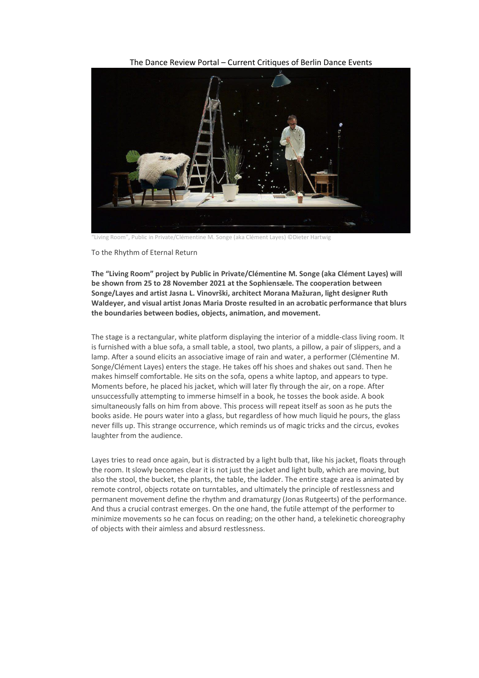The Dance Review Portal – Current Critiques of Berlin Dance Events



"Living Room", Public in Private/Clémentine M. Songe (aka Clément Layes) ©Dieter Hartwig

To the Rhythm of Eternal Return

**The "Living Room" project by Public in Private/Clémentine M. Songe (aka Clément Layes) will be shown from 25 to 28 November 2021 at the Sophiensæle. The cooperation between Songe/Layes and artist Jasna L. Vinovrški, architect Morana Mažuran, light designer Ruth Waldeyer, and visual artist Jonas Maria Droste resulted in an acrobatic performance that blurs the boundaries between bodies, objects, animation, and movement.**

The stage is a rectangular, white platform displaying the interior of a middle-class living room. It is furnished with a blue sofa, a small table, a stool, two plants, a pillow, a pair of slippers, and a lamp. After a sound elicits an associative image of rain and water, a performer (Clémentine M. Songe/Clément Layes) enters the stage. He takes off his shoes and shakes out sand. Then he makes himself comfortable. He sits on the sofa, opens a white laptop, and appears to type. Moments before, he placed his jacket, which will later fly through the air, on a rope. After unsuccessfully attempting to immerse himself in a book, he tosses the book aside. A book simultaneously falls on him from above. This process will repeat itself as soon as he puts the books aside. He pours water into a glass, but regardless of how much liquid he pours, the glass never fills up. This strange occurrence, which reminds us of magic tricks and the circus, evokes laughter from the audience.

Layes tries to read once again, but is distracted by a light bulb that, like his jacket, floats through the room. It slowly becomes clear it is not just the jacket and light bulb, which are moving, but also the stool, the bucket, the plants, the table, the ladder. The entire stage area is animated by remote control, objects rotate on turntables, and ultimately the principle of restlessness and permanent movement define the rhythm and dramaturgy (Jonas Rutgeerts) of the performance. And thus a crucial contrast emerges. On the one hand, the futile attempt of the performer to minimize movements so he can focus on reading; on the other hand, a telekinetic choreography of objects with their aimless and absurd restlessness.